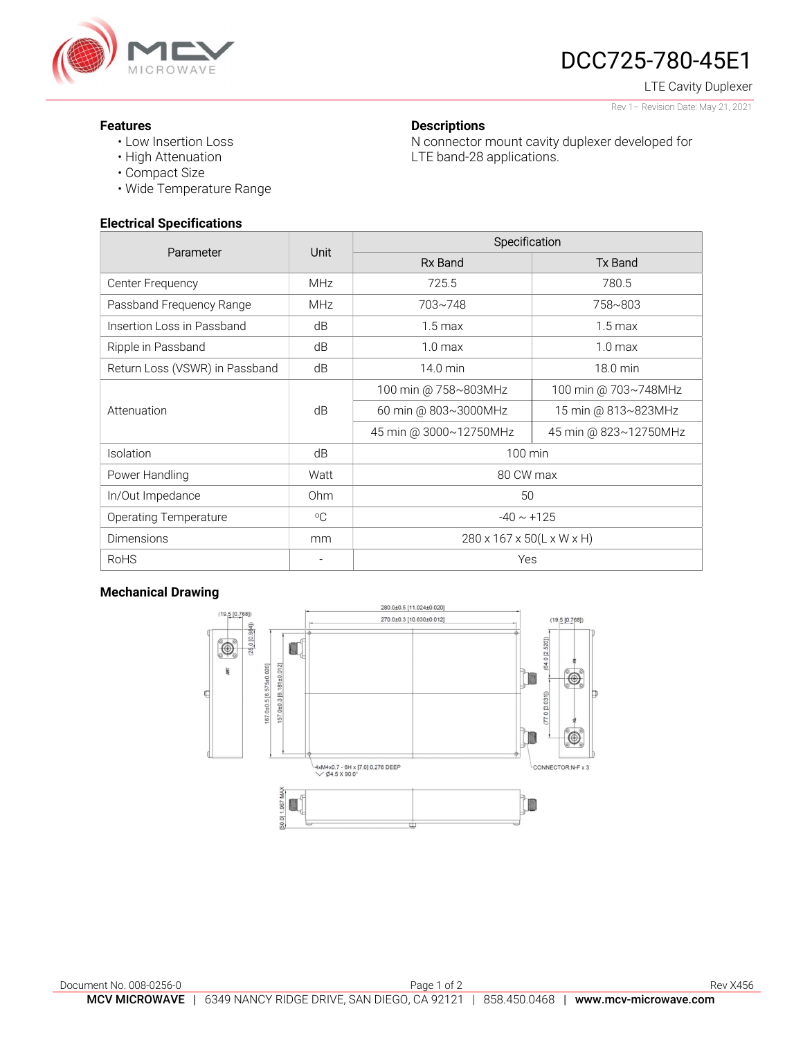

# DCC725-780-45E1

LTE Cavity Duplexer

#### Rev 1– Revision Date: May 21, 2021

#### Features

- Low Insertion Loss
- High Attenuation
- Compact Size
- Wide Temperature Range

#### Electrical Specifications

| Parameter                      | Unit         | Specification             |                       |
|--------------------------------|--------------|---------------------------|-----------------------|
|                                |              | Rx Band                   | <b>Tx Band</b>        |
| Center Frequency               | <b>MHz</b>   | 725.5                     | 780.5                 |
| Passband Frequency Range       | <b>MHz</b>   | 703~748                   | 758~803               |
| Insertion Loss in Passband     | dB           | $1.5 \,\mathrm{max}$      | $1.5 \,\mathrm{max}$  |
| Ripple in Passband             | dB           | 1.0 <sub>max</sub>        | 1.0 <sub>max</sub>    |
| Return Loss (VSWR) in Passband | dB           | 14.0 min                  | 18.0 min              |
| Attenuation                    | dB           | 100 min @ 758~803MHz      | 100 min @ 703~748MHz  |
|                                |              | 60 min @ 803~3000MHz      | 15 min @ 813~823MHz   |
|                                |              | 45 min @ 3000~12750MHz    | 45 min @ 823~12750MHz |
| Isolation                      | dB           | 100 min                   |                       |
| Power Handling                 | Watt         | 80 CW max                 |                       |
| In/Out Impedance               | 0hm          | 50                        |                       |
| <b>Operating Temperature</b>   | $^{\circ}$ C | $-40 \sim +125$           |                       |
| <b>Dimensions</b>              | mm           | 280 x 167 x 50(L x W x H) |                       |
| <b>RoHS</b>                    |              | Yes                       |                       |

**Descriptions** 

LTE band-28 applications.

N connector mount cavity duplexer developed for

#### Mechanical Drawing